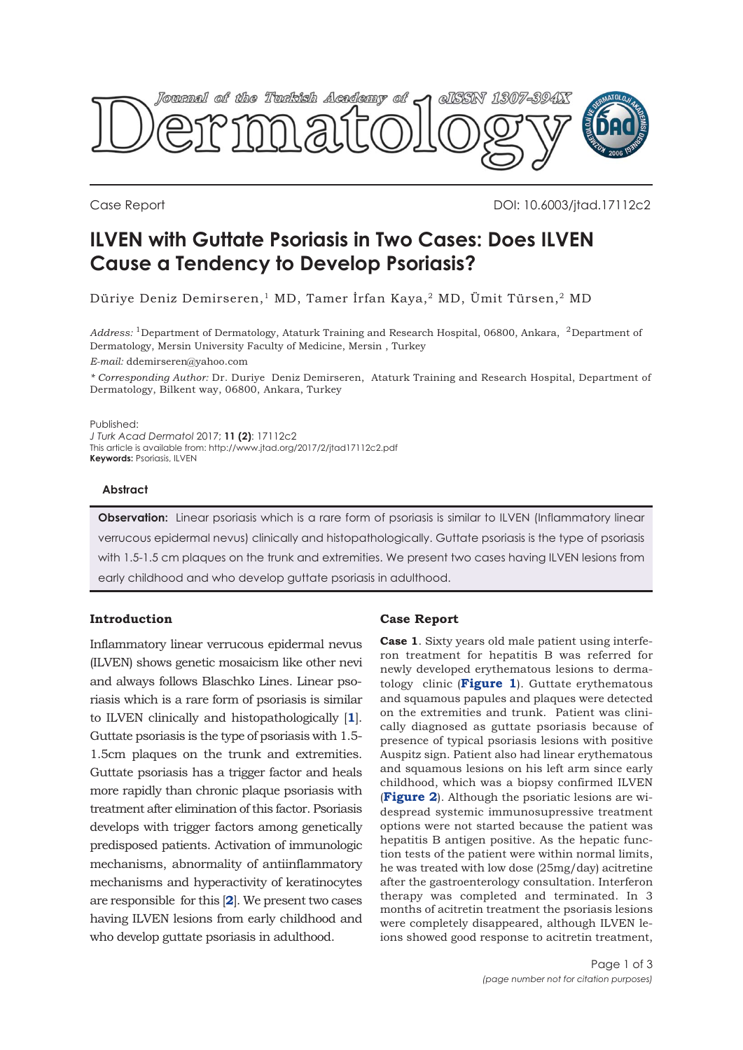

Case Report DOI: 10.6003/jtad.17112c2

# **ILVEN with Guttate Psoriasis in Two Cases: Does ILVEN Cause a Tendency to Develop Psoriasis?**

Düriye Deniz Demirseren,1 MD, Tamer İrfan Kaya,2 MD, Ümit Türsen,2 MD

*Address:* 1Department of Dermatology, Ataturk Training and Research Hospital, 06800, Ankara, 2Department of Dermatology, Mersin University Faculty of Medicine, Mersin , Turkey

*E-mail:* ddemirseren@yahoo.com

*\* Corresponding Author:* Dr. Duriye Deniz Demirseren, Ataturk Training and Research Hospital, Department of Dermatology, Bilkent way, 06800, Ankara, Turkey

Published:

*J Turk Acad Dermatol* 2017; **11 (2)**: 17112c2 This article is available from: http://www.jtad.org/2017/2/jtad17112c2.pdf **Keywords:** Psoriasis, ILVEN

#### **Abstract**

**Observation:** Linear psoriasis which is a rare form of psoriasis is similar to ILVEN (Inflammatory linear verrucous epidermal nevus) clinically and histopathologically. Guttate psoriasis is the type of psoriasis with 1.5-1.5 cm plaques on the trunk and extremities. We present two cases having ILVEN lesions from early childhood and who develop guttate psoriasis in adulthood.

# **Introduction**

Inflammatory linear verrucous epidermal nevus (ILVEN) shows genetic mosaicism like other nevi and always follows Blaschko Lines. Linear psoriasis which is a rare form of psoriasis is similar to ILVEN clinically and histopathologically [**[1](#page-2-0)**]. Guttate psoriasis is the type of psoriasis with 1.5- 1.5cm plaques on the trunk and extremities. Guttate psoriasis has a trigger factor and heals more rapidly than chronic plaque psoriasis with treatment after elimination of this factor. Psoriasis develops with trigger factors among genetically predisposed patients. Activation of immunologic mechanisms, abnormality of antiinflammatory mechanisms and hyperactivity of keratinocytes are responsible for this [**[2](#page-2-0)**]. We present two cases having ILVEN lesions from early childhood and who develop guttate psoriasis in adulthood.

## **Case Report**

**Case 1**. Sixty years old male patient using interferon treatment for hepatitis B was referred for newly developed erythematous lesions to dermatology clinic (**[Figure 1](#page-1-0)**). Guttate erythematous and squamous papules and plaques were detected on the extremities and trunk. Patient was clinically diagnosed as guttate psoriasis because of presence of typical psoriasis lesions with positive Auspitz sign. Patient also had linear erythematous and squamous lesions on his left arm since early childhood, which was a biopsy confirmed ILVEN (**[Figure 2](#page-1-0)**). Although the psoriatic lesions are widespread systemic immunosupressive treatment options were not started because the patient was hepatitis B antigen positive. As the hepatic function tests of the patient were within normal limits, he was treated with low dose (25mg/day) acitretine after the gastroenterology consultation. Interferon therapy was completed and terminated. In 3 months of acitretin treatment the psoriasis lesions were completely disappeared, although ILVEN leions showed good response to acitretin treatment,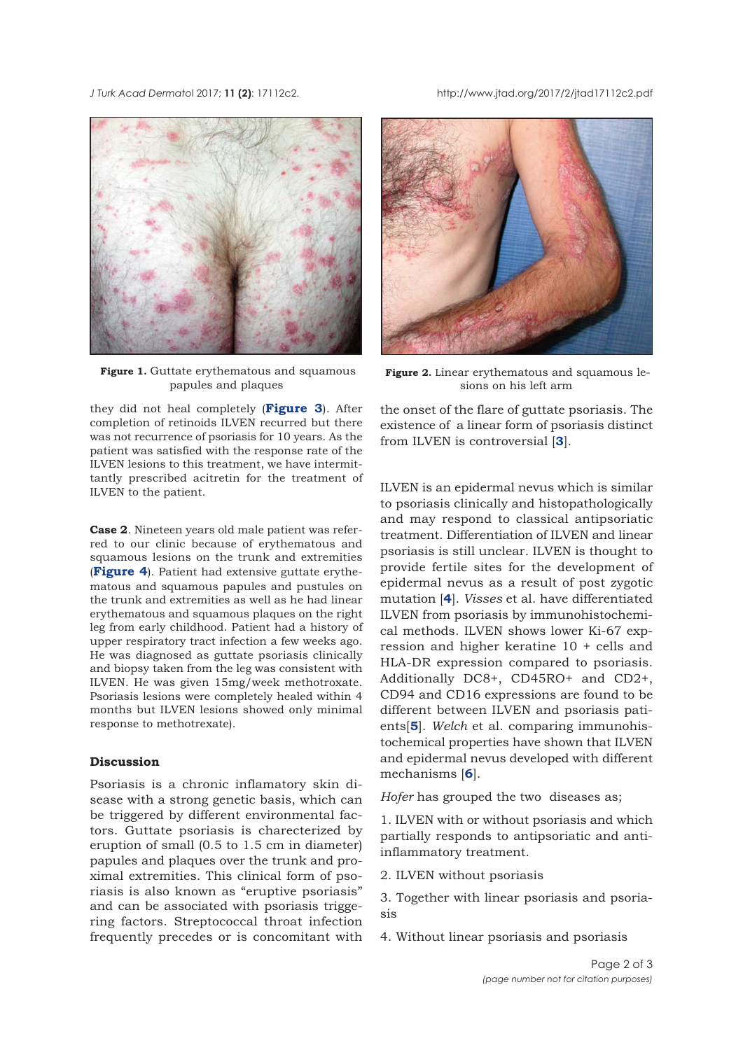<span id="page-1-0"></span>*J Turk Acad Dermato*l 2017; **11 (2)**: 17112c2. http://www.jtad.org/2017/2/jtad17112c2.pdf



**Figure 1.** Guttate erythematous and squamous papules and plaques

they did not heal completely (**[Figure 3](#page-2-0)**). After completion of retinoids ILVEN recurred but there was not recurrence of psoriasis for 10 years. As the patient was satisfied with the response rate of the ILVEN lesions to this treatment, we have intermittantly prescribed acitretin for the treatment of ILVEN to the patient.

**Case 2**. Nineteen years old male patient was referred to our clinic because of erythematous and squamous lesions on the trunk and extremities (**[Figure 4](#page-2-0)**). Patient had extensive guttate erythematous and squamous papules and pustules on the trunk and extremities as well as he had linear erythematous and squamous plaques on the right leg from early childhood. Patient had a history of upper respiratory tract infection a few weeks ago. He was diagnosed as guttate psoriasis clinically and biopsy taken from the leg was consistent with ILVEN. He was given 15mg/week methotroxate. Psoriasis lesions were completely healed within 4 months but ILVEN lesions showed only minimal response to methotrexate).

### **Discussion**

Psoriasis is a chronic inflamatory skin disease with a strong genetic basis, which can be triggered by different environmental factors. Guttate psoriasis is charecterized by eruption of small (0.5 to 1.5 cm in diameter) papules and plaques over the trunk and proximal extremities. This clinical form of psoriasis is also known as "eruptive psoriasis" and can be associated with psoriasis triggering factors. Streptococcal throat infection frequently precedes or is concomitant with



**Figure 2.** Linear erythematous and squamous lesions on his left arm

the onset of the flare of guttate psoriasis. The existence of a linear form of psoriasis distinct from ILVEN is controversial [**[3](#page-2-0)**].

ILVEN is an epidermal nevus which is similar to psoriasis clinically and histopathologically and may respond to classical antipsoriatic treatment. Differentiation of ILVEN and linear psoriasis is still unclear. ILVEN is thought to provide fertile sites for the development of epidermal nevus as a result of post zygotic mutation [**[4](#page-2-0)**]. *Visses* et al. have differentiated ILVEN from psoriasis by immunohistochemical methods. ILVEN shows lower Ki-67 expression and higher keratine 10 + cells and HLA-DR expression compared to psoriasis. Additionally DC8+, CD45RO+ and CD2+, CD94 and CD16 expressions are found to be different between ILVEN and psoriasis patients[**[5](#page-2-0)**]. *Welch* et al. comparing immunohistochemical properties have shown that ILVEN and epidermal nevus developed with different mechanisms [**[6](#page-2-0)**].

*Hofer* has grouped the two diseases as;

1. ILVEN with or without psoriasis and which partially responds to antipsoriatic and antiinflammatory treatment.

2. ILVEN without psoriasis

3. Together with linear psoriasis and psoriasis

4. Without linear psoriasis and psoriasis